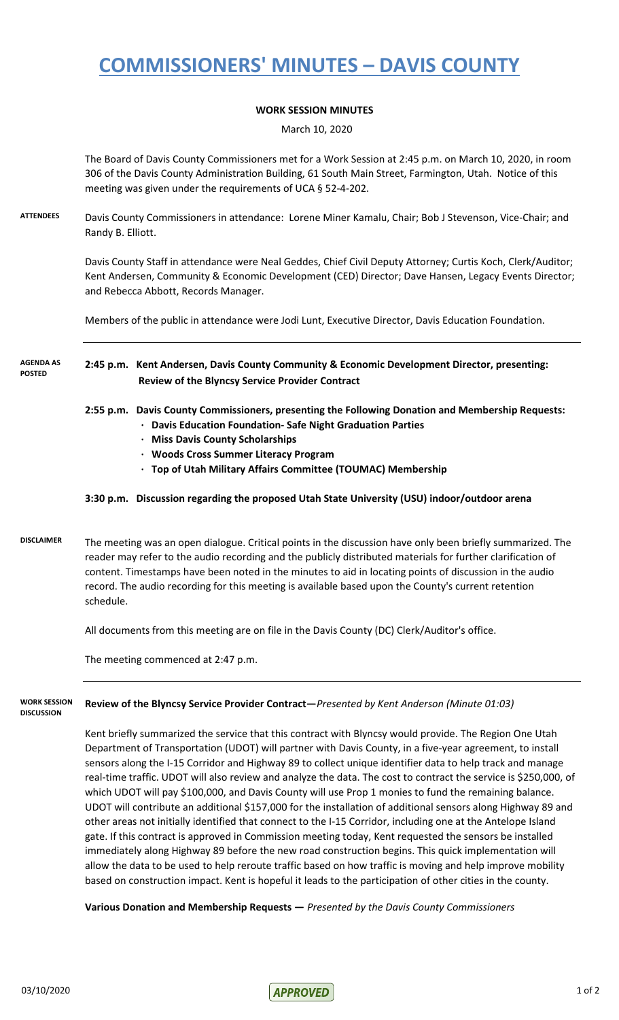## **COMMISSIONERS' MINUTES – DAVIS COUNTY**

### **WORK SESSION MINUTES**

March 10, 2020

The Board of Davis County Commissioners met for a Work Session at 2:45 p.m. on March 10, 2020, in room 306 of the Davis County Administration Building, 61 South Main Street, Farmington, Utah. Notice of this meeting was given under the requirements of UCA § 52-4-202.

**ATTENDEES** Davis County Commissioners in attendance: Lorene Miner Kamalu, Chair; Bob J Stevenson, Vice-Chair; and Randy B. Elliott.

> Davis County Staff in attendance were Neal Geddes, Chief Civil Deputy Attorney; Curtis Koch, Clerk/Auditor; Kent Andersen, Community & Economic Development (CED) Director; Dave Hansen, Legacy Events Director; and Rebecca Abbott, Records Manager.

Members of the public in attendance were Jodi Lunt, Executive Director, Davis Education Foundation.

#### **2:45 p.m. Kent Andersen, Davis County Community & Economic Development Director, presenting: Review of the Blyncsy Service Provider Contract AGENDA AS POSTED**

- **2:55 p.m. Davis County Commissioners, presenting the Following Donation and Membership Requests:**
	- **∙ Davis Education Foundation- Safe Night Graduation Parties**
	- **∙ Miss Davis County Scholarships**
	- **∙ Woods Cross Summer Literacy Program**
	- **∙ Top of Utah Military Affairs Committee (TOUMAC) Membership**

### **3:30 p.m. Discussion regarding the proposed Utah State University (USU) indoor/outdoor arena**

**DISCLAIMER** The meeting was an open dialogue. Critical points in the discussion have only been briefly summarized. The reader may refer to the audio recording and the publicly distributed materials for further clarification of content. Timestamps have been noted in the minutes to aid in locating points of discussion in the audio record. The audio recording for this meeting is available based upon the County's current retention schedule.

All documents from this meeting are on file in the Davis County (DC) Clerk/Auditor's office.

The meeting commenced at 2:47 p.m.

#### **Review of the Blyncsy Service Provider Contract—***Presented by Kent Anderson (Minute 01:03)* **WORK SESSION DISCUSSION**

Kent briefly summarized the service that this contract with Blyncsy would provide. The Region One Utah Department of Transportation (UDOT) will partner with Davis County, in a five-year agreement, to install sensors along the I-15 Corridor and Highway 89 to collect unique identifier data to help track and manage real-time traffic. UDOT will also review and analyze the data. The cost to contract the service is \$250,000, of which UDOT will pay \$100,000, and Davis County will use Prop 1 monies to fund the remaining balance. UDOT will contribute an additional \$157,000 for the installation of additional sensors along Highway 89 and other areas not initially identified that connect to the I-15 Corridor, including one at the Antelope Island gate. If this contract is approved in Commission meeting today, Kent requested the sensors be installed immediately along Highway 89 before the new road construction begins. This quick implementation will allow the data to be used to help reroute traffic based on how traffic is moving and help improve mobility based on construction impact. Kent is hopeful it leads to the participation of other cities in the county.

**Various Donation and Membership Requests —** *Presented by the Davis County Commissioners*